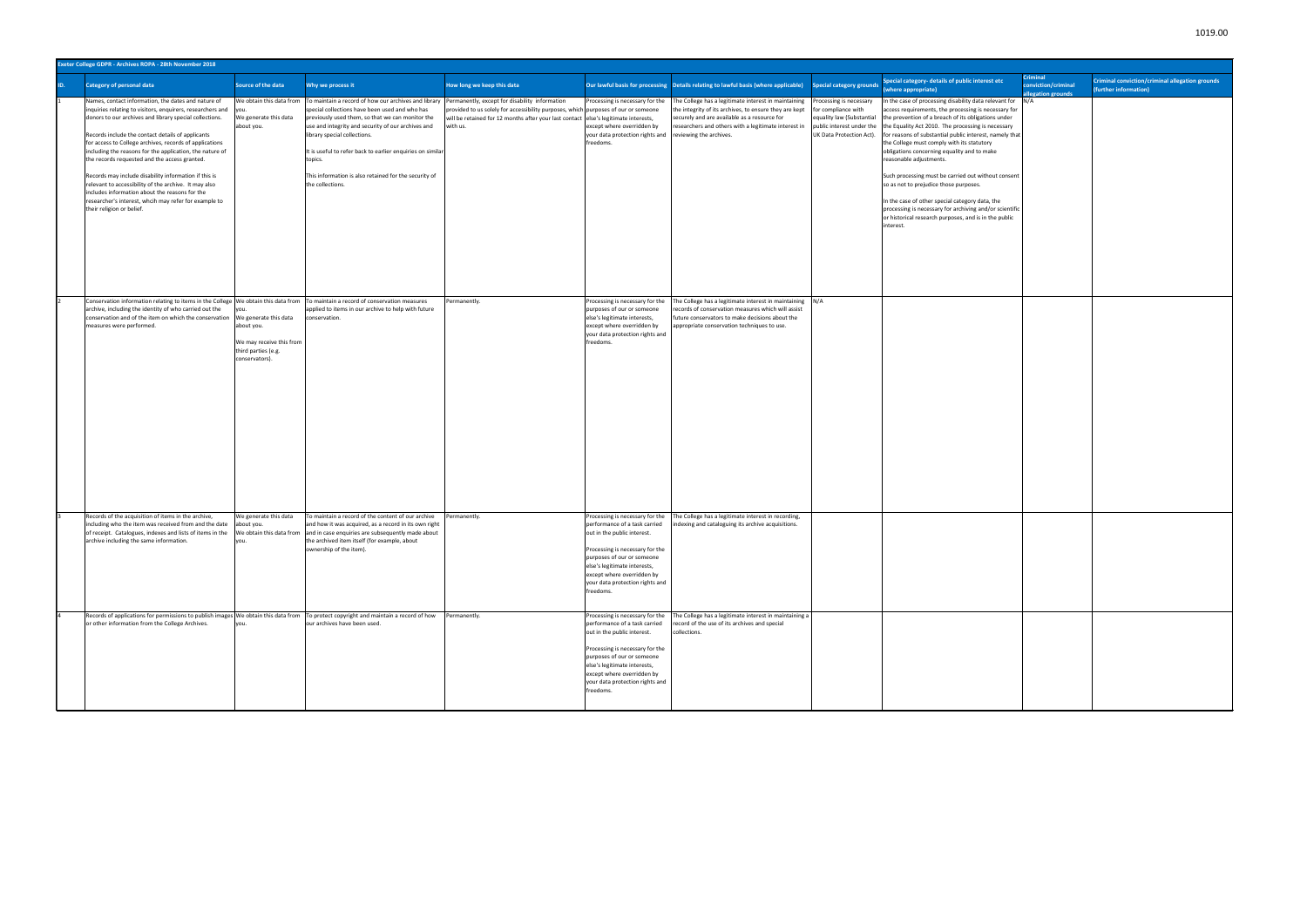|     | Exeter College GDPR - Archives ROPA - 28th November 2018                                                                                                                                                                                                                                                                                                                                                                                                                                                                                                                                                                                                            |                                                                                                          |                                                                                                                                                                                                                                                                                                                                                                                                                                                                                |                                                                                                                                                                                       |                                                                                                                                                                                                                                                                                |                                                                                                                                                                                                                                                                           |                                                                                                           |                                                                                                                                                                                                                                                                                                                                                                                                                                                                                                                                                                                                                                                                                                         |                                                       |                                                                          |
|-----|---------------------------------------------------------------------------------------------------------------------------------------------------------------------------------------------------------------------------------------------------------------------------------------------------------------------------------------------------------------------------------------------------------------------------------------------------------------------------------------------------------------------------------------------------------------------------------------------------------------------------------------------------------------------|----------------------------------------------------------------------------------------------------------|--------------------------------------------------------------------------------------------------------------------------------------------------------------------------------------------------------------------------------------------------------------------------------------------------------------------------------------------------------------------------------------------------------------------------------------------------------------------------------|---------------------------------------------------------------------------------------------------------------------------------------------------------------------------------------|--------------------------------------------------------------------------------------------------------------------------------------------------------------------------------------------------------------------------------------------------------------------------------|---------------------------------------------------------------------------------------------------------------------------------------------------------------------------------------------------------------------------------------------------------------------------|-----------------------------------------------------------------------------------------------------------|---------------------------------------------------------------------------------------------------------------------------------------------------------------------------------------------------------------------------------------------------------------------------------------------------------------------------------------------------------------------------------------------------------------------------------------------------------------------------------------------------------------------------------------------------------------------------------------------------------------------------------------------------------------------------------------------------------|-------------------------------------------------------|--------------------------------------------------------------------------|
| ID. | <b>Category of personal data</b>                                                                                                                                                                                                                                                                                                                                                                                                                                                                                                                                                                                                                                    | Source of the data                                                                                       | Why we process it                                                                                                                                                                                                                                                                                                                                                                                                                                                              | How long we keep this data                                                                                                                                                            |                                                                                                                                                                                                                                                                                | Our lawful basis for processing Details relating to lawful basis (where applicable)                                                                                                                                                                                       | <b>Special category grounds</b>                                                                           | Special category- details of public interest etc<br>where appropriate)                                                                                                                                                                                                                                                                                                                                                                                                                                                                                                                                                                                                                                  | Criminal<br>conviction/criminal<br>allegation grounds | Criminal conviction/criminal allegation grounds<br>(further information) |
|     | Names, contact information, the dates and nature of<br>inquiries relating to visitors, enquirers, researchers and<br>donors to our archives and library special collections.<br>Records include the contact details of applicants<br>for access to College archives, records of applications<br>including the reasons for the application, the nature of<br>the records requested and the access granted.<br>Records may include disability information if this is<br>relevant to accessibility of the archive. It may also<br>includes information about the reasons for the<br>researcher's interest, whcih may refer for example to<br>their religion or belief. | We generate this data<br>about you.                                                                      | We obtain this data from To maintain a record of how our archives and library Permanently, except for disability information<br>special collections have been used and who has<br>previously used them, so that we can monitor the<br>use and integrity and security of our archives and<br>library special collections.<br>It is useful to refer back to earlier enquiries on similar<br>topics.<br>This information is also retained for the security of<br>the collections. | provided to us solely for accessibility purposes, which purposes of our or someone<br>will be retained for 12 months after your last contact else's legitimate interests,<br>with us. | Processing is necessary for the<br>except where overridden by<br>your data protection rights and<br>freedoms.                                                                                                                                                                  | The College has a legitimate interest in maintaining Processing is necessary<br>the integrity of its archives, to ensure they are kept<br>securely and are available as a resource for<br>researchers and others with a legitimate interest in<br>reviewing the archives. | for compliance with<br>equality law (Substantial<br>public interest under the<br>UK Data Protection Act). | In the case of processing disability data relevant for N/A<br>access requirements, the processing is necessary for<br>the prevention of a breach of its obligations under<br>the Equality Act 2010. The processing is necessary<br>for reasons of substantial public interest, namely that<br>the College must comply with its statutory<br>obligations concerning equality and to make<br>reasonable adjustments.<br>Such processing must be carried out without consent<br>so as not to prejudice those purposes.<br>In the case of other special category data, the<br>processing is necessary for archiving and/or scientific<br>or historical research purposes, and is in the public<br>interest. |                                                       |                                                                          |
|     | Conservation information relating to items in the College  We obtain this data from  To maintain a record of conservation measures<br>archive, including the identity of who carried out the<br>conservation and of the item on which the conservation<br>measures were performed.                                                                                                                                                                                                                                                                                                                                                                                  | We generate this data<br>about you.<br>We may receive this from<br>third parties (e.g.<br>conservators). | applied to items in our archive to help with future<br>conservation.                                                                                                                                                                                                                                                                                                                                                                                                           | Permanently.                                                                                                                                                                          | Processing is necessary for the<br>purposes of our or someone<br>else's legitimate interests,<br>except where overridden by<br>your data protection rights and<br>freedoms.                                                                                                    | The College has a legitimate interest in maintaining N/A<br>records of conservation measures which will assist<br>uture conservators to make decisions about the<br>ppropriate conservation techniques to use.                                                            |                                                                                                           |                                                                                                                                                                                                                                                                                                                                                                                                                                                                                                                                                                                                                                                                                                         |                                                       |                                                                          |
|     | Records of the acquisition of items in the archive,<br>including who the item was received from and the date<br>of receipt. Catalogues, indexes and lists of items in the<br>archive including the same information.                                                                                                                                                                                                                                                                                                                                                                                                                                                | Ne generate this data<br>about you.                                                                      | To maintain a record of the content of our archive<br>and how it was acquired, as a record in its own right<br>Ve obtain this data from and in case enquiries are subsequently made about<br>the archived item itself (for example, about<br>ownership of the item).                                                                                                                                                                                                           | Permanently.                                                                                                                                                                          | Processing is necessary for the<br>performance of a task carried<br>out in the public interest.<br>Processing is necessary for the<br>purposes of our or someone<br>else's legitimate interests,<br>except where overridden by<br>your data protection rights and<br>freedoms. | The College has a legitimate interest in recording,<br>indexing and cataloguing its archive acquisitions.                                                                                                                                                                 |                                                                                                           |                                                                                                                                                                                                                                                                                                                                                                                                                                                                                                                                                                                                                                                                                                         |                                                       |                                                                          |
|     | Records of applications for permissions to publish images We obtain this data from To protect copyright and maintain a record of how<br>or other information from the College Archives.                                                                                                                                                                                                                                                                                                                                                                                                                                                                             | you.                                                                                                     | our archives have been used.                                                                                                                                                                                                                                                                                                                                                                                                                                                   | Permanently.                                                                                                                                                                          | Processing is necessary for the<br>performance of a task carried<br>out in the public interest.<br>Processing is necessary for the<br>purposes of our or someone<br>else's legitimate interests,<br>except where overridden by<br>your data protection rights and<br>freedoms. | The College has a legitimate interest in maintaining a<br>ecord of the use of its archives and special<br>collections.                                                                                                                                                    |                                                                                                           |                                                                                                                                                                                                                                                                                                                                                                                                                                                                                                                                                                                                                                                                                                         |                                                       |                                                                          |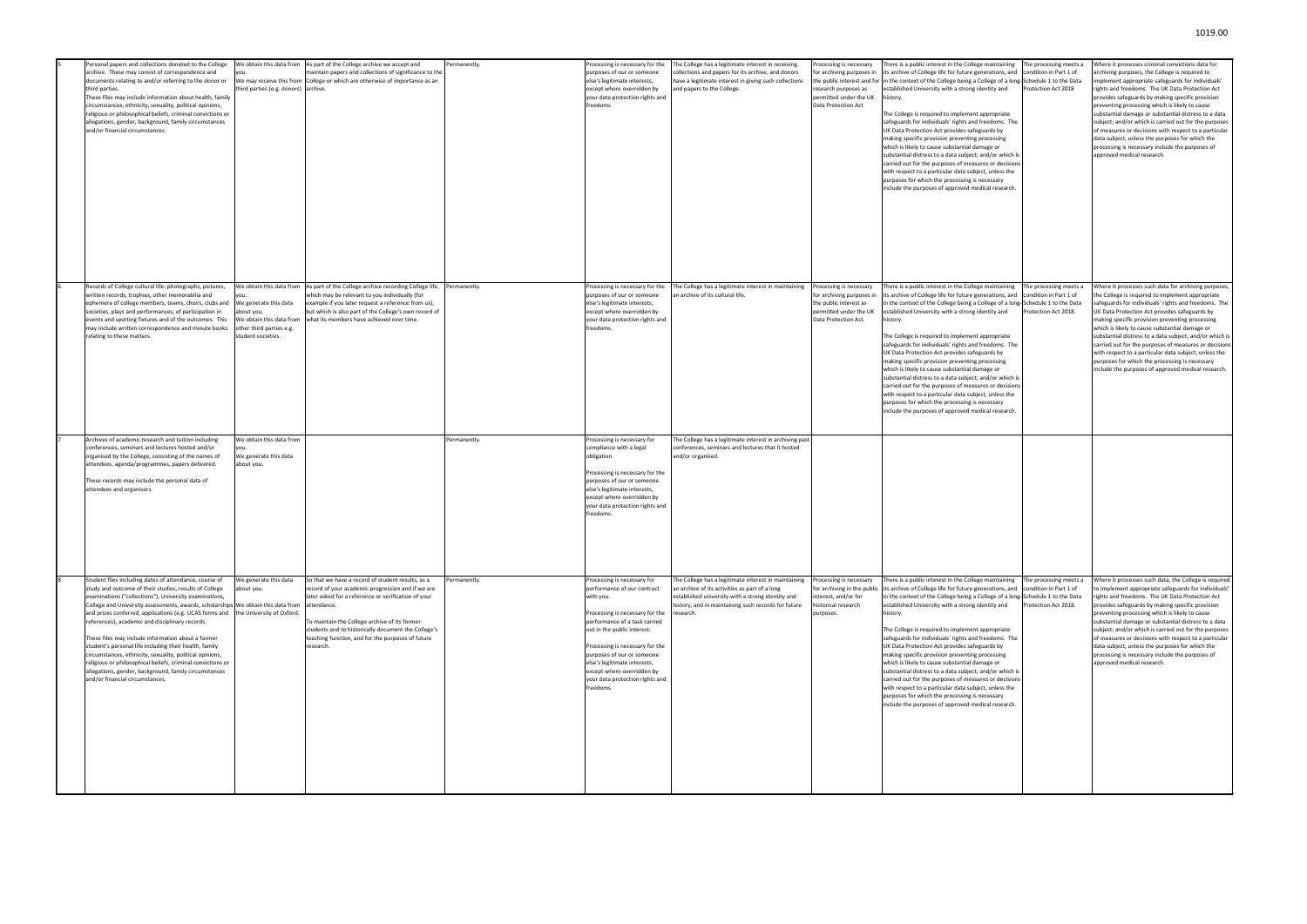| Personal papers and collections donated to the College<br>archive. These may consist of correspondence and<br>documents relating to and/or referring to the donor or<br>third parties.<br>These files may include information about health, family<br>circumstances, ethnicity, sexuality, political opinions,<br>religious or philosophical beliefs, criminal convictions or<br>allegations, gender, background, family circumstances<br>and/or financial circumstances.                                                                                                                                                                                                                                                                      | third parties (e.g. donors) archive.                                                                                                         | We obtain this data from As part of the College archive we accept and<br>maintain papers and collections of significance to the<br>We may receive this from College or which are otherwise of importance as an                                                                                                                                         | Permanently. | Processing is necessary for the<br>purposes of our or someone<br>else's legitimate interests,<br>except where overridden by<br>your data protection rights and<br>freedoms                                                                                                                                                                                | The College has a legitimate interest in receiving<br>collections and papers for its archive, and donors<br>have a legitimate interest in giving such collections<br>and papers to the College.                                 | rocessing is necessary<br>for archiving purposes ir<br>research purposes as<br>permitted under the UK<br>Data Protection Act     | There is a public interest in the College maintaining<br>its archive of College life for future generations, and<br>the public interest and for in the context of the College being a College of a long-Schedule 1 to the Data<br>established University with a strong identity and<br>history.<br>The College is required to implement appropriate<br>safeguards for individuals' rights and freedoms. The<br>UK Data Protection Act provides safeguards by<br>making specific provision preventing processing<br>which is likely to cause substantial damage or<br>substantial distress to a data subject; and/or which is<br>carried out for the purposes of measures or decision<br>with respect to a particular data subject, unless the<br>purposes for which the processing is necessary<br>include the purposes of approved medical research. | The processing meets a<br>condition in Part 1 of<br>rotection Act 2018   | Where it processes criminal convictions data for<br>archiving purposes, the College is required to<br>implement appropriate safeguards for individuals'<br>rights and freedoms. The UK Data Protection Act<br>provides safeguards by making specific provision<br>preventing processing which is likely to cause<br>substantial damage or substantial distress to a data<br>subject; and/or which is carried out for the purposes<br>of measures or decisions with respect to a particular<br>data subject, unless the purposes for which the<br>processing is necessary include the purposes of<br>approved medical research. |
|------------------------------------------------------------------------------------------------------------------------------------------------------------------------------------------------------------------------------------------------------------------------------------------------------------------------------------------------------------------------------------------------------------------------------------------------------------------------------------------------------------------------------------------------------------------------------------------------------------------------------------------------------------------------------------------------------------------------------------------------|----------------------------------------------------------------------------------------------------------------------------------------------|--------------------------------------------------------------------------------------------------------------------------------------------------------------------------------------------------------------------------------------------------------------------------------------------------------------------------------------------------------|--------------|-----------------------------------------------------------------------------------------------------------------------------------------------------------------------------------------------------------------------------------------------------------------------------------------------------------------------------------------------------------|---------------------------------------------------------------------------------------------------------------------------------------------------------------------------------------------------------------------------------|----------------------------------------------------------------------------------------------------------------------------------|-------------------------------------------------------------------------------------------------------------------------------------------------------------------------------------------------------------------------------------------------------------------------------------------------------------------------------------------------------------------------------------------------------------------------------------------------------------------------------------------------------------------------------------------------------------------------------------------------------------------------------------------------------------------------------------------------------------------------------------------------------------------------------------------------------------------------------------------------------|--------------------------------------------------------------------------|--------------------------------------------------------------------------------------------------------------------------------------------------------------------------------------------------------------------------------------------------------------------------------------------------------------------------------------------------------------------------------------------------------------------------------------------------------------------------------------------------------------------------------------------------------------------------------------------------------------------------------|
| Records of College cultural life: photographs, pictures,<br>written records, trophies, other memorabilia and<br>ephemera of college members, teams, choirs, clubs and<br>societies, plays and performances, of participation in<br>events and sporting fixtures and of the outcomes. This<br>may include written correspondence and minute books<br>relating to these matters.                                                                                                                                                                                                                                                                                                                                                                 | We obtain this data from<br>We generate this data<br>bout you.<br>We obtain this data from<br>other third parties e.g.<br>student societies. | As part of the College archive recording College life,<br>which may be relevant to you individually (for<br>example if you later request a reference from us),<br>but which is also part of the College's own record of<br>what its members have achieved over time.                                                                                   | Permanently. | Processing is necessary for the<br>purposes of our or someone<br>else's legitimate interests,<br>except where overridden by<br>your data protection rights and<br>freedoms.                                                                                                                                                                               | The College has a legitimate interest in maintaining<br>n archive of its cultural life.                                                                                                                                         | Processing is necessary<br>for archiving purposes ir<br>the public interest as<br>permitted under the UK<br>Data Protection Act. | here is a public interest in the College maintaining<br>its archive of College life for future generations, and<br>n the context of the College being a College of a long-Schedule 1 to the Data<br>established University with a strong identity and<br>history.<br>The College is required to implement appropriate<br>safeguards for individuals' rights and freedoms. The<br>UK Data Protection Act provides safeguards by<br>making specific provision preventing processing<br>which is likely to cause substantial damage or<br>substantial distress to a data subject; and/or which is<br>carried out for the purposes of measures or decision<br>with respect to a particular data subject, unless the<br>purposes for which the processing is necessary<br>include the purposes of approved medical research.                               | he processing meets a<br>condition in Part 1 of<br>rotection Act 2018.   | Where it processes such data for archiving purposes,<br>the College is required to implement appropriate<br>safeguards for individuals' rights and freedoms. The<br>UK Data Protection Act provides safeguards by<br>making specific provision preventing processing<br>which is likely to cause substantial damage or<br>substantial distress to a data subject; and/or which is<br>carried out for the purposes of measures or decisions<br>with respect to a particular data subject, unless the<br>purposes for which the processing is necessary<br>include the purposes of approved medical research.                    |
| Archives of academic research and tuition including<br>conferences, seminars and lectures hosted and/or<br>organised by the College, consisting of the names of<br>attendees, agenda/programmes, papers delivered.<br>These records may include the personal data of<br>attendees and organisers.                                                                                                                                                                                                                                                                                                                                                                                                                                              | We obtain this data from<br>We generate this data<br>about you.                                                                              |                                                                                                                                                                                                                                                                                                                                                        | Permanently. | Processing is necessary for<br>compliance with a legal<br>obligation.<br>Processing is necessary for the<br>purposes of our or someone<br>else's legitimate interests,<br>except where overridden by<br>your data protection rights and<br>freedoms.                                                                                                      | The College has a legitimate interest in archiving past<br>conferences, seminars and lectures that it hosted<br>and/or organised.                                                                                               |                                                                                                                                  |                                                                                                                                                                                                                                                                                                                                                                                                                                                                                                                                                                                                                                                                                                                                                                                                                                                       |                                                                          |                                                                                                                                                                                                                                                                                                                                                                                                                                                                                                                                                                                                                                |
| Student files including dates of attendance, course of<br>study and outcome of their studies, results of College<br>examinations ("collections"), University examinations,<br>College and University assessments, awards, scholarships We obtain this data from<br>and prizes conferred, applications (e.g. UCAS forms and the University of Oxford.<br>references), academic and disciplinary records.<br>These files may include information about a former<br>student's personal life including their health, family<br>circumstances, ethnicity, sexuality, political opinions,<br>religious or philosophical beliefs, criminal convictions or<br>allegations, gender, background, family circumstances<br>and/or financial circumstances. | We generate this data<br>bout you.                                                                                                           | So that we have a record of student results, as a<br>record of your academic progression and if we are<br>later asked for a reference or verification of your<br>attendance.<br>To maintain the College archive of its former<br>students and to historically document the College's<br>teaching function, and for the purposes of future<br>research. | Permanently. | Processing is necessary for<br>performance of our contract<br>with you.<br>Processing is necessary for the<br>performance of a task carried<br>out in the public interest.<br>Processing is necessary for the<br>purposes of our or someone<br>else's legitimate interests,<br>except where overridden by<br>your data protection rights and<br>freedoms. | The College has a legitimate interest in maintaining<br>an archive of its activities as part of a long<br>established university with a strong identity and<br>history, and in maintaining such records for future<br>research. | Processing is necessary<br>for archiving in the public<br>nterest, and/or for<br>istorical research<br>purposes.                 | There is a public interest in the College maintaining<br>its archive of College life for future generations, and<br>in the context of the College being a College of a long-Schedule 1 to the Data<br>established University with a strong identity and<br>history.<br>The College is required to implement appropriate<br>safeguards for individuals' rights and freedoms. The<br>UK Data Protection Act provides safeguards by<br>making specific provision preventing processing<br>which is likely to cause substantial damage or<br>substantial distress to a data subject; and/or which is<br>carried out for the purposes of measures or decisions<br>with respect to a particular data subject, unless the<br>purposes for which the processing is necessary<br>include the purposes of approved medical research.                            | The processing meets a<br>condition in Part 1 of<br>Protection Act 2018. | Where it processes such data, the College is required<br>to implement appropriate safeguards for individuals'<br>rights and freedoms. The UK Data Protection Act<br>provides safeguards by making specific provision<br>preventing processing which is likely to cause<br>substantial damage or substantial distress to a data<br>subject; and/or which is carried out for the purposes<br>of measures or decisions with respect to a particular<br>data subject, unless the purposes for which the<br>processing is necessary include the purposes of<br>approved medical research.                                           |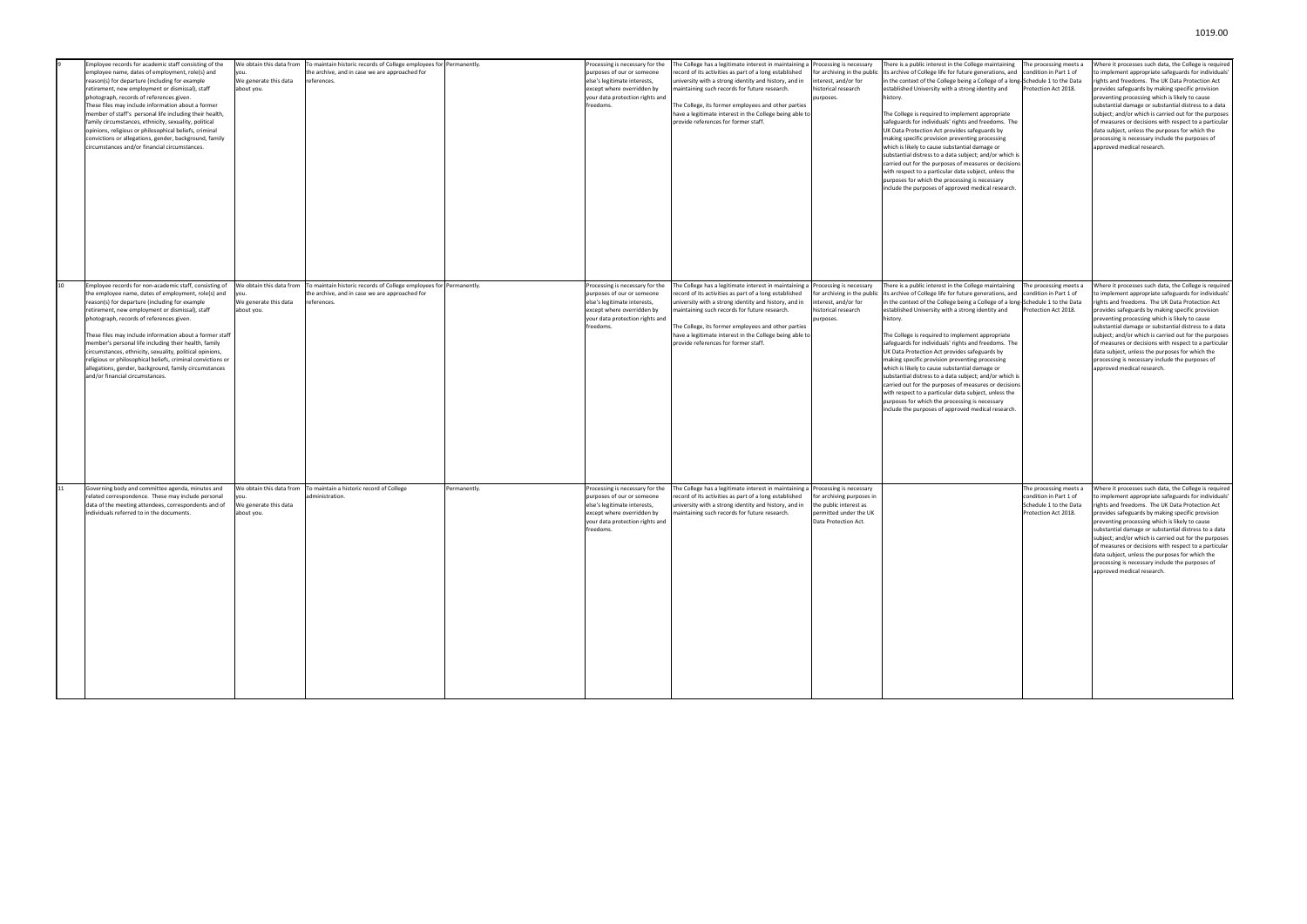| Employee records for academic staff consisting of the<br>employee name, dates of employment, role(s) and<br>reason(s) for departure (including for example<br>retirement, new employment or dismissal), staff<br>photograph, records of references given.<br>These files may include information about a former<br>member of staff's personal life including their health,<br>family circumstances, ethnicity, sexuality, political<br>opinions, religious or philosophical beliefs, criminal<br>convictions or allegations, gender, background, family<br>circumstances and/or financial circumstances.   | We obtain this data from<br>We generate this data<br>about you. | To maintain historic records of College employees for Permanently.<br>the archive, and in case we are approached for<br>references. |              | Processing is necessary for the<br>purposes of our or someone<br>else's legitimate interests,<br>except where overridden by<br>your data protection rights and<br>freedoms. | The College has a legitimate interest in maintaining a<br>ecord of its activities as part of a long established<br>university with a strong identity and history, and in<br>maintaining such records for future research.<br>The College, its former employees and other parties<br>have a legitimate interest in the College being able to<br>provide references for former staff.                         | Processing is necessary<br>for archiving in the public<br>interest, and/or for<br>historical research<br>purposes.               | There is a public interest in the College maintaining<br>its archive of College life for future generations, and<br>in the context of the College being a College of a long-Schedule 1 to the Data<br>established University with a strong identity and<br>history.<br>The College is required to implement appropriate<br>safeguards for individuals' rights and freedoms. The<br>UK Data Protection Act provides safeguards by<br>making specific provision preventing processing<br>which is likely to cause substantial damage or<br>substantial distress to a data subject; and/or which is<br>carried out for the purposes of measures or decisions<br>with respect to a particular data subject, unless the<br>purposes for which the processing is necessary<br>include the purposes of approved medical research. | The processing meets a<br>condition in Part 1 of<br>Protection Act 2018.                           | Where it processes such data, the College is required<br>to implement appropriate safeguards for individuals<br>rights and freedoms. The UK Data Protection Act<br>provides safeguards by making specific provision<br>preventing processing which is likely to cause<br>substantial damage or substantial distress to a data<br>subject; and/or which is carried out for the purposes<br>of measures or decisions with respect to a particular<br>data subject, unless the purposes for which the<br>processing is necessary include the purposes of<br>approved medical research.  |
|------------------------------------------------------------------------------------------------------------------------------------------------------------------------------------------------------------------------------------------------------------------------------------------------------------------------------------------------------------------------------------------------------------------------------------------------------------------------------------------------------------------------------------------------------------------------------------------------------------|-----------------------------------------------------------------|-------------------------------------------------------------------------------------------------------------------------------------|--------------|-----------------------------------------------------------------------------------------------------------------------------------------------------------------------------|-------------------------------------------------------------------------------------------------------------------------------------------------------------------------------------------------------------------------------------------------------------------------------------------------------------------------------------------------------------------------------------------------------------|----------------------------------------------------------------------------------------------------------------------------------|----------------------------------------------------------------------------------------------------------------------------------------------------------------------------------------------------------------------------------------------------------------------------------------------------------------------------------------------------------------------------------------------------------------------------------------------------------------------------------------------------------------------------------------------------------------------------------------------------------------------------------------------------------------------------------------------------------------------------------------------------------------------------------------------------------------------------|----------------------------------------------------------------------------------------------------|--------------------------------------------------------------------------------------------------------------------------------------------------------------------------------------------------------------------------------------------------------------------------------------------------------------------------------------------------------------------------------------------------------------------------------------------------------------------------------------------------------------------------------------------------------------------------------------|
| Employee records for non-academic staff, consisting of<br>the employee name, dates of employment, role(s) and<br>reason(s) for departure (including for example<br>retirement, new employment or dismissal), staff<br>photograph, records of references given.<br>These files may include information about a former staff<br>member's personal life including their health, family<br>circumstances, ethnicity, sexuality, political opinions,<br>religious or philosophical beliefs, criminal convictions or<br>allegations, gender, background, family circumstances<br>and/or financial circumstances. | We obtain this data from<br>We generate this data<br>about you. | To maintain historic records of College employees for Permanently.<br>the archive, and in case we are approached for<br>references. |              | Processing is necessary for the<br>purposes of our or someone<br>else's legitimate interests,<br>except where overridden by<br>your data protection rights and<br>freedoms. | The College has a legitimate interest in maintaining a Processing is necessary<br>ecord of its activities as part of a long established<br>university with a strong identity and history, and in<br>maintaining such records for future research.<br>The College, its former employees and other parties<br>have a legitimate interest in the College being able to<br>provide references for former staff. | for archiving in the public<br>interest, and/or for<br>historical research<br>purposes.                                          | There is a public interest in the College maintaining<br>its archive of College life for future generations, and<br>in the context of the College being a College of a long-Schedule 1 to the Data<br>established University with a strong identity and<br>history.<br>The College is required to implement appropriate<br>safeguards for individuals' rights and freedoms. The<br>UK Data Protection Act provides safeguards by<br>making specific provision preventing processing<br>which is likely to cause substantial damage or<br>substantial distress to a data subject; and/or which is<br>carried out for the purposes of measures or decisions<br>with respect to a particular data subject, unless the<br>purposes for which the processing is necessary<br>include the purposes of approved medical research. | The processing meets a<br>condition in Part 1 of<br>Protection Act 2018.                           | Where it processes such data, the College is required<br>o implement appropriate safeguards for individuals'<br>rights and freedoms. The UK Data Protection Act<br>provides safeguards by making specific provision<br>preventing processing which is likely to cause<br>substantial damage or substantial distress to a data<br>subject; and/or which is carried out for the purposes<br>of measures or decisions with respect to a particular<br>data subject, unless the purposes for which the<br>processing is necessary include the purposes of<br>approved medical research.  |
| Governing body and committee agenda, minutes and<br>related correspondence. These may include personal<br>data of the meeting attendees, correspondents and of<br>individuals referred to in the documents.                                                                                                                                                                                                                                                                                                                                                                                                | We obtain this data from<br>Ne generate this data<br>about you. | To maintain a historic record of College<br>administration.                                                                         | Permanently. | Processing is necessary for the<br>purposes of our or someone<br>else's legitimate interests,<br>except where overridden by<br>your data protection rights and<br>freedoms. | The College has a legitimate interest in maintaining a<br>ecord of its activities as part of a long established<br>university with a strong identity and history, and in<br>maintaining such records for future research.                                                                                                                                                                                   | Processing is necessary<br>for archiving purposes in<br>the public interest as<br>permitted under the UK<br>Data Protection Act. |                                                                                                                                                                                                                                                                                                                                                                                                                                                                                                                                                                                                                                                                                                                                                                                                                            | The processing meets a<br>condition in Part 1 of<br>Schedule 1 to the Data<br>Protection Act 2018. | Where it processes such data, the College is required<br>to implement appropriate safeguards for individuals'<br>rights and freedoms. The UK Data Protection Act<br>provides safeguards by making specific provision<br>preventing processing which is likely to cause<br>substantial damage or substantial distress to a data<br>subject; and/or which is carried out for the purposes<br>of measures or decisions with respect to a particular<br>data subject, unless the purposes for which the<br>processing is necessary include the purposes of<br>approved medical research. |